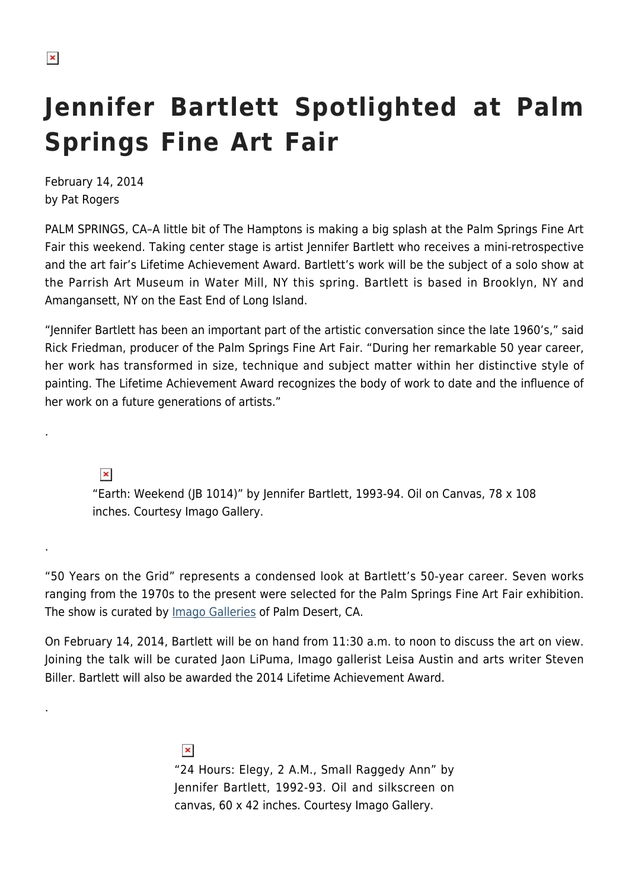## **Jennifer Bartlett Spotlighted at Palm Springs Fine Art Fair**

February 14, 2014 by Pat Rogers

PALM SPRINGS, CA–A little bit of The Hamptons is making a big splash at the Palm Springs Fine Art Fair this weekend. Taking center stage is artist Jennifer Bartlett who receives a mini-retrospective and the art fair's Lifetime Achievement Award. Bartlett's work will be the subject of a solo show at the Parrish Art Museum in Water Mill, NY this spring. Bartlett is based in Brooklyn, NY and Amangansett, NY on the East End of Long Island.

"Jennifer Bartlett has been an important part of the artistic conversation since the late 1960's," said Rick Friedman, producer of the Palm Springs Fine Art Fair. "During her remarkable 50 year career, her work has transformed in size, technique and subject matter within her distinctive style of painting. The Lifetime Achievement Award recognizes the body of work to date and the influence of her work on a future generations of artists."

 $\pmb{\times}$ 

.

.

.

"Earth: Weekend (JB 1014)" by Jennifer Bartlett, 1993-94. Oil on Canvas, 78 x 108 inches. Courtesy Imago Gallery.

"50 Years on the Grid" represents a condensed look at Bartlett's 50-year career. Seven works ranging from the 1970s to the present were selected for the Palm Springs Fine Art Fair exhibition. The show is curated by *Imago Galleries* of Palm Desert, CA.

On February 14, 2014, Bartlett will be on hand from 11:30 a.m. to noon to discuss the art on view. Joining the talk will be curated Jaon LiPuma, Imago gallerist Leisa Austin and arts writer Steven Biller. Bartlett will also be awarded the 2014 Lifetime Achievement Award.

> $\pmb{\times}$ "24 Hours: Elegy, 2 A.M., Small Raggedy Ann" by Jennifer Bartlett, 1992-93. Oil and silkscreen on canvas, 60 x 42 inches. Courtesy Imago Gallery.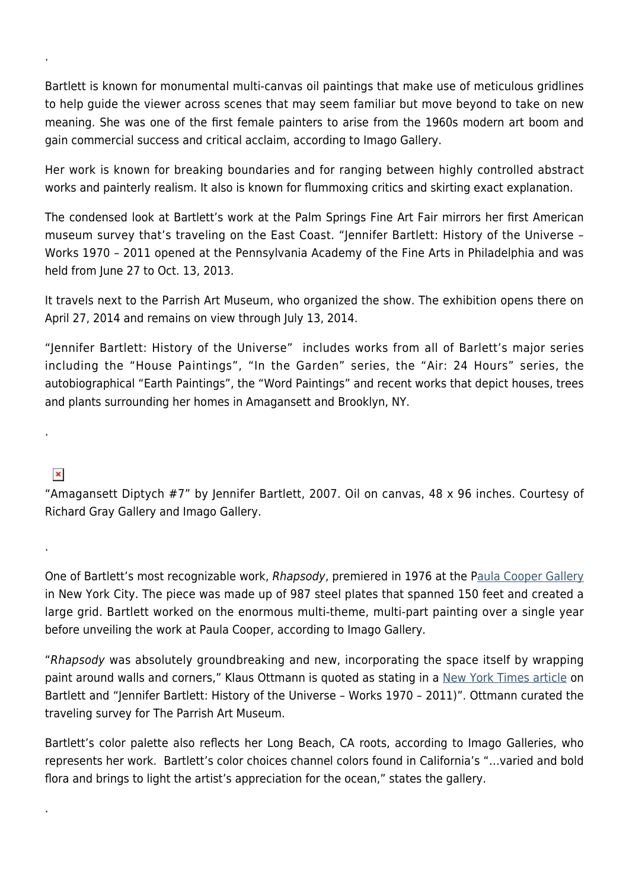Bartlett is known for monumental multi-canvas oil paintings that make use of meticulous gridlines to help guide the viewer across scenes that may seem familiar but move beyond to take on new meaning. She was one of the first female painters to arise from the 1960s modern art boom and gain commercial success and critical acclaim, according to Imago Gallery.

Her work is known for breaking boundaries and for ranging between highly controlled abstract works and painterly realism. It also is known for flummoxing critics and skirting exact explanation.

The condensed look at Bartlett's work at the Palm Springs Fine Art Fair mirrors her first American museum survey that's traveling on the East Coast. "Jennifer Bartlett: History of the Universe – Works 1970 – 2011 opened at the Pennsylvania Academy of the Fine Arts in Philadelphia and was held from June 27 to Oct. 13, 2013.

It travels next to the Parrish Art Museum, who organized the show. The exhibition opens there on April 27, 2014 and remains on view through July 13, 2014.

"Jennifer Bartlett: History of the Universe" includes works from all of Barlett's major series including the "House Paintings", "In the Garden" series, the "Air: 24 Hours" series, the autobiographical "Earth Paintings", the "Word Paintings" and recent works that depict houses, trees and plants surrounding her homes in Amagansett and Brooklyn, NY.

## $\pmb{\times}$

.

.

.

.

"Amagansett Diptych #7" by Jennifer Bartlett, 2007. Oil on canvas, 48 x 96 inches. Courtesy of Richard Gray Gallery and Imago Gallery.

One of Bartlett's most recognizable work, Rhapsody, premiered in 1976 at the P[aula Cooper Gallery](http://www.paulacoopergallery.com/) in New York City. The piece was made up of 987 steel plates that spanned 150 feet and created a large grid. Bartlett worked on the enormous multi-theme, multi-part painting over a single year before unveiling the work at Paula Cooper, according to Imago Gallery.

"Rhapsody was absolutely groundbreaking and new, incorporating the space itself by wrapping paint around walls and corners," Klaus Ottmann is quoted as stating in a [New York Times article](http://www.nytimes.com/2013/06/23/arts/design/jennifer-bartlett-gets-a-museum-retrospective.html?pagewanted=all) on Bartlett and "Jennifer Bartlett: History of the Universe – Works 1970 – 2011)". Ottmann curated the traveling survey for The Parrish Art Museum.

Bartlett's color palette also reflects her Long Beach, CA roots, according to Imago Galleries, who represents her work. Bartlett's color choices channel colors found in California's "…varied and bold flora and brings to light the artist's appreciation for the ocean," states the gallery.